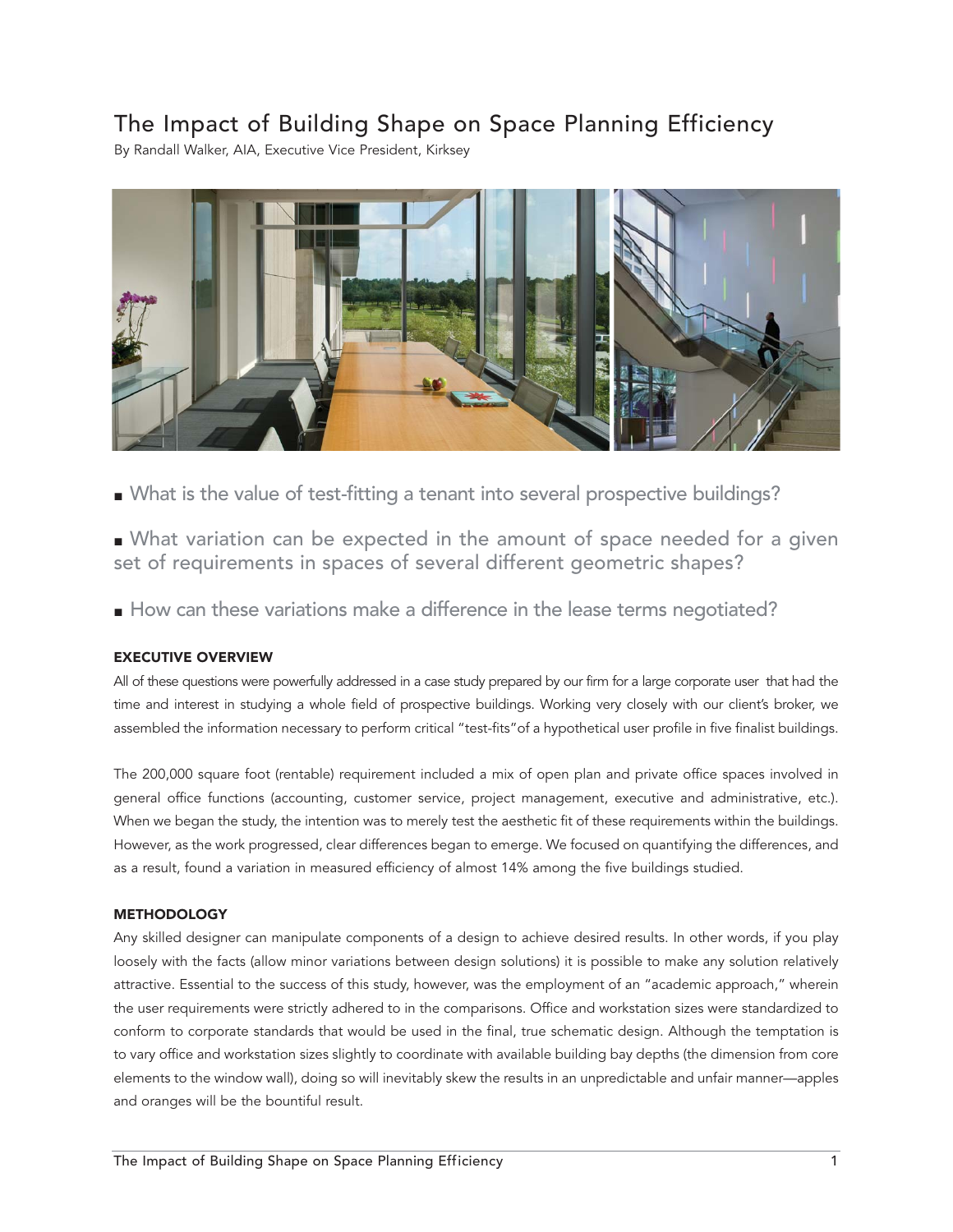# The Impact of Building Shape on Space Planning Efficiency

By Randall Walker, AIA, Executive Vice President, Kirksey



- What is the value of test-fitting a tenant into several prospective buildings?
- What variation can be expected in the amount of space needed for a given set of requirements in spaces of several different geometric shapes?
- How can these variations make a difference in the lease terms negotiated?

# EXECUTIVE OVERVIEW

All of these questions were powerfully addressed in a case study prepared by our firm for a large corporate user that had the time and interest in studying a whole field of prospective buildings. Working very closely with our client's broker, we assembled the information necessary to perform critical "test-fits"of a hypothetical user profile in five finalist buildings.

The 200,000 square foot (rentable) requirement included a mix of open plan and private office spaces involved in general office functions (accounting, customer service, project management, executive and administrative, etc.). When we began the study, the intention was to merely test the aesthetic fit of these requirements within the buildings. However, as the work progressed, clear differences began to emerge. We focused on quantifying the differences, and as a result, found a variation in measured efficiency of almost 14% among the five buildings studied.

## **METHODOLOGY**

Any skilled designer can manipulate components of a design to achieve desired results. In other words, if you play loosely with the facts (allow minor variations between design solutions) it is possible to make any solution relatively attractive. Essential to the success of this study, however, was the employment of an "academic approach," wherein the user requirements were strictly adhered to in the comparisons. Office and workstation sizes were standardized to conform to corporate standards that would be used in the final, true schematic design. Although the temptation is to vary office and workstation sizes slightly to coordinate with available building bay depths (the dimension from core elements to the window wall), doing so will inevitably skew the results in an unpredictable and unfair manner—apples and oranges will be the bountiful result.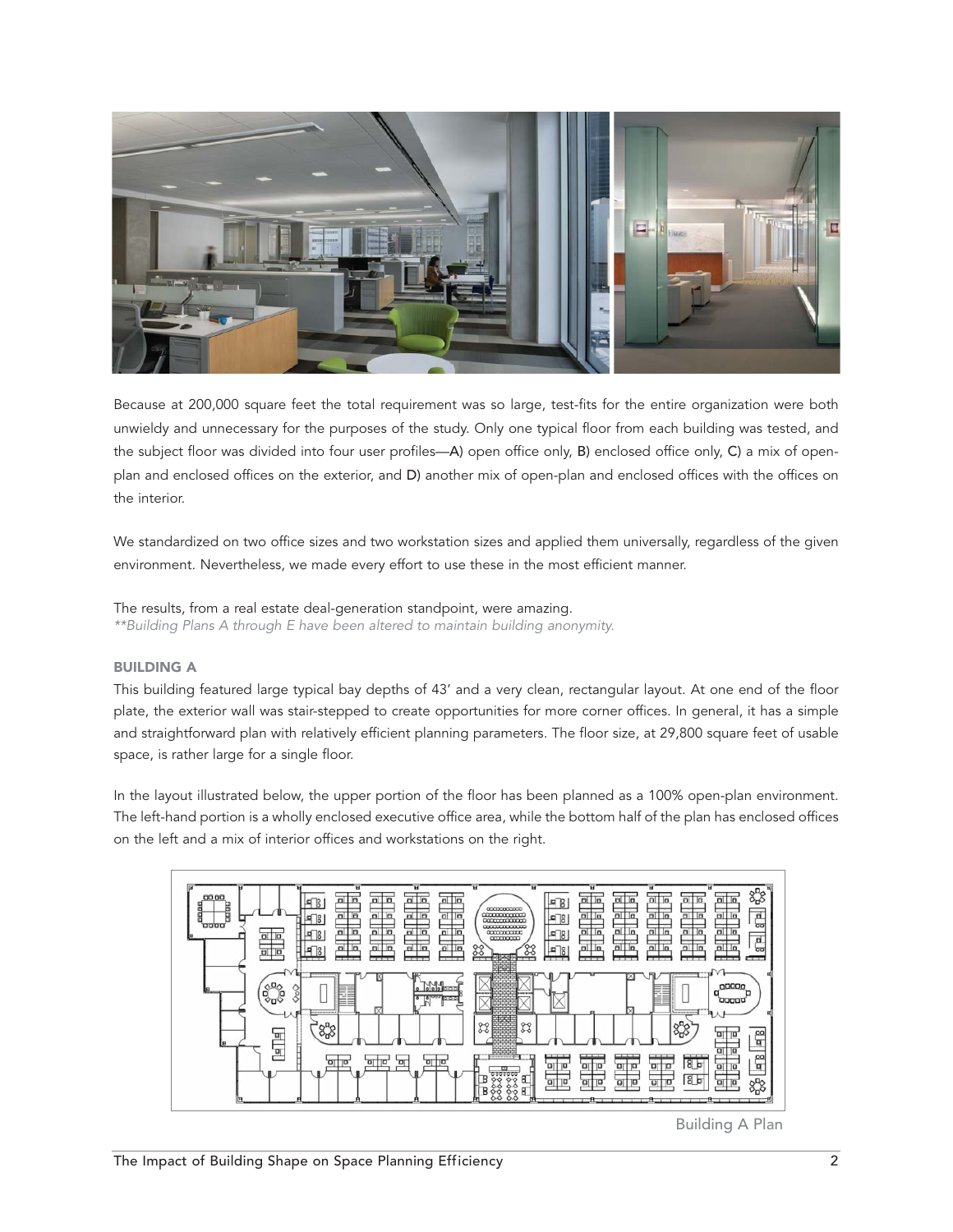

Because at 200,000 square feet the total requirement was so large, test-fits for the entire organization were both unwieldy and unnecessary for the purposes of the study. Only one typical floor from each building was tested, and the subject floor was divided into four user profiles—A) open office only, B) enclosed office only, C) a mix of openplan and enclosed offices on the exterior, and D) another mix of open-plan and enclosed offices with the offices on the interior.

We standardized on two office sizes and two workstation sizes and applied them universally, regardless of the given environment. Nevertheless, we made every effort to use these in the most efficient manner.

The results, from a real estate deal-generation standpoint, were amazing. \*\*Building Plans A through E have been altered to maintain building anonymity.

# BUILDING A

This building featured large typical bay depths of 43' and a very clean, rectangular layout. At one end of the floor plate, the exterior wall was stair-stepped to create opportunities for more corner offices. In general, it has a simple and straightforward plan with relatively efficient planning parameters. The floor size, at 29,800 square feet of usable space, is rather large for a single floor.

In the layout illustrated below, the upper portion of the floor has been planned as a 100% open-plan environment. The left-hand portion is a wholly enclosed executive office area, while the bottom half of the plan has enclosed offices on the left and a mix of interior offices and workstations on the right.



Building A Plan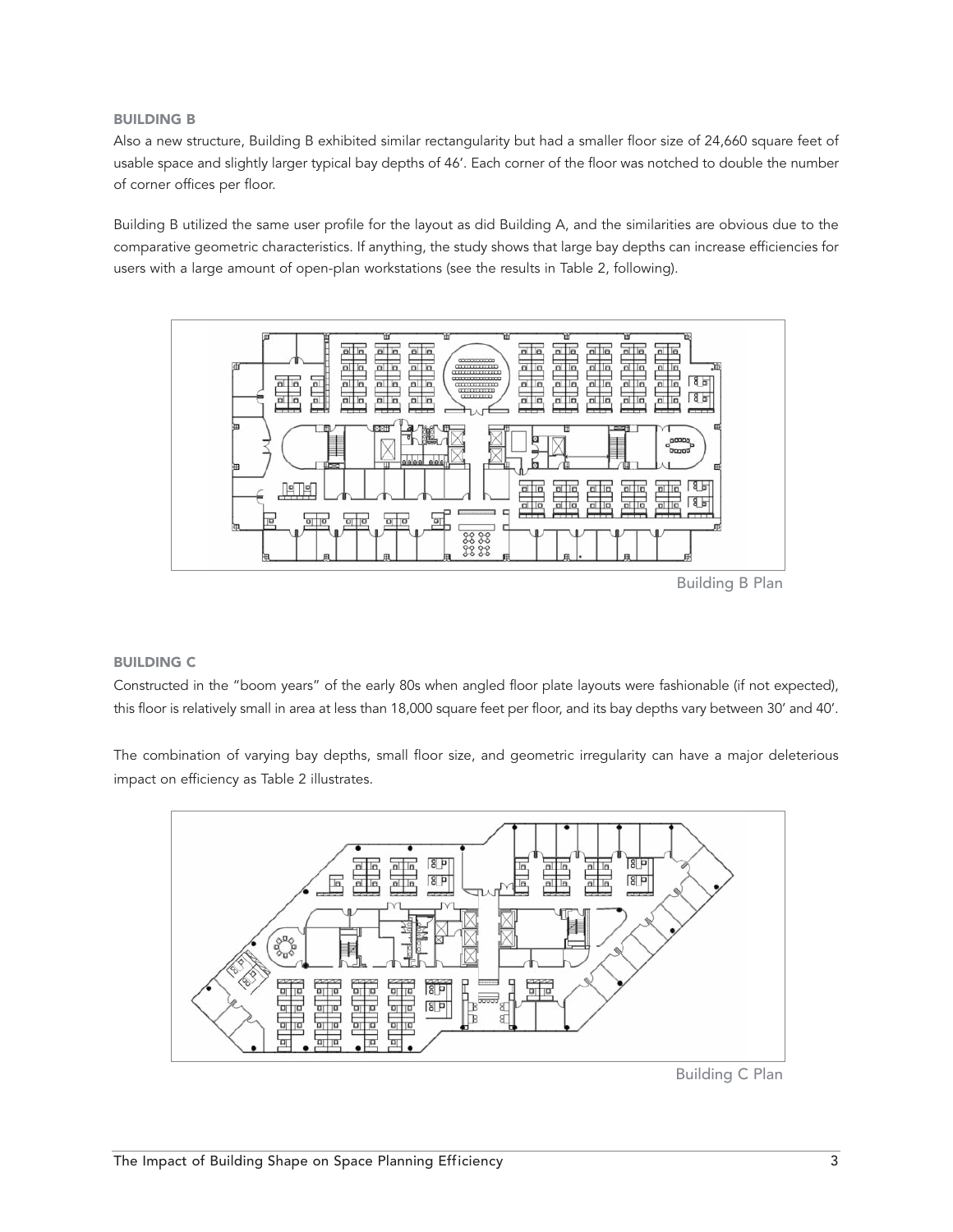## BUILDING B

Also a new structure, Building B exhibited similar rectangularity but had a smaller floor size of 24,660 square feet of usable space and slightly larger typical bay depths of 46'. Each corner of the floor was notched to double the number of corner offices per floor.

Building B utilized the same user profile for the layout as did Building A, and the similarities are obvious due to the comparative geometric characteristics. If anything, the study shows that large bay depths can increase efficiencies for users with a large amount of open-plan workstations (see the results in Table 2, following).



Building B Plan

#### BUILDING C

Constructed in the "boom years" of the early 80s when angled floor plate layouts were fashionable (if not expected), this floor is relatively small in area at less than 18,000 square feet per floor, and its bay depths vary between 30' and 40'.

The combination of varying bay depths, small floor size, and geometric irregularity can have a major deleterious impact on efficiency as Table 2 illustrates.



Building C Plan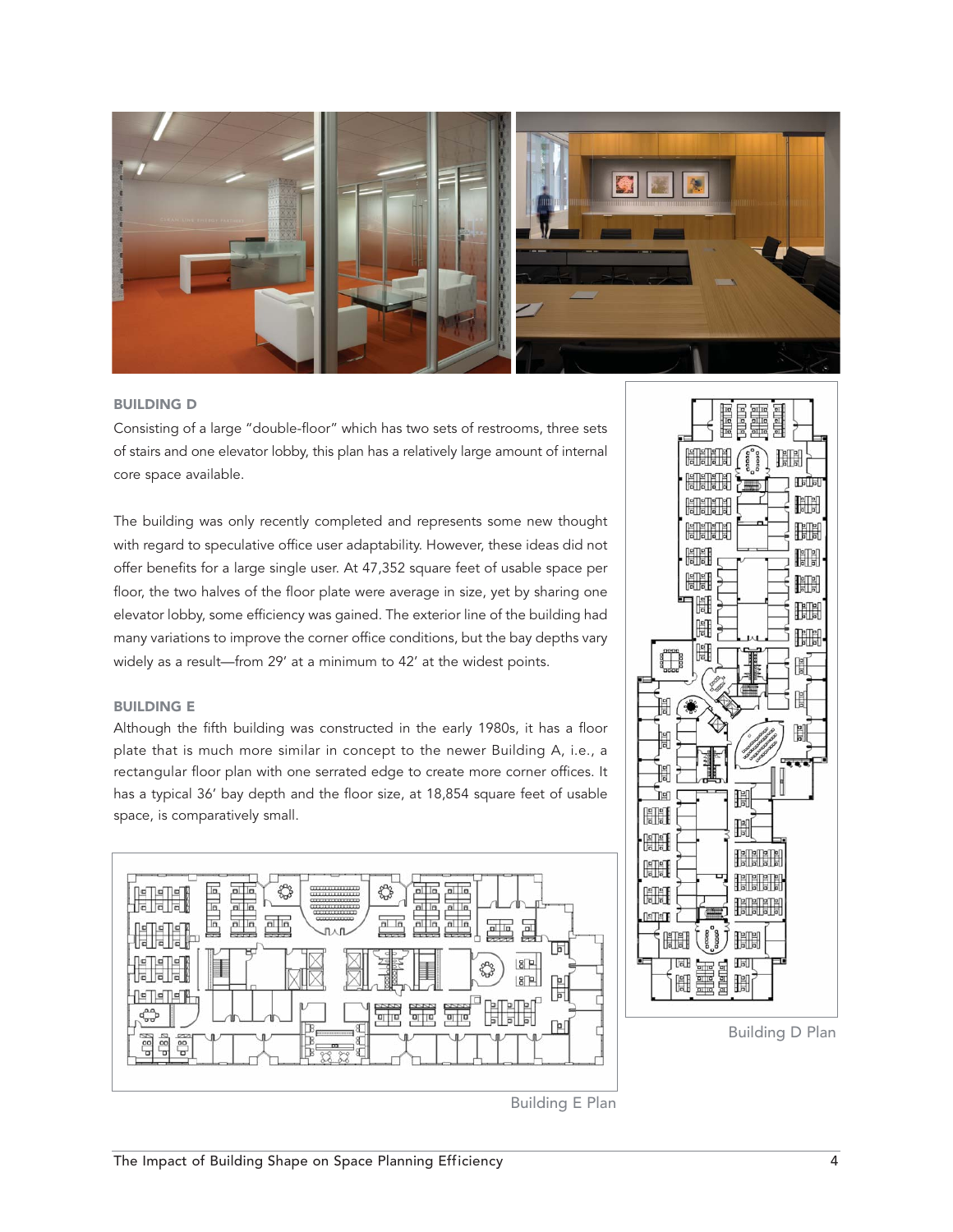

#### BUILDING D

Consisting of a large "double-floor" which has two sets of restrooms, three sets of stairs and one elevator lobby, this plan has a relatively large amount of internal core space available.

The building was only recently completed and represents some new thought with regard to speculative office user adaptability. However, these ideas did not offer benefits for a large single user. At 47,352 square feet of usable space per floor, the two halves of the floor plate were average in size, yet by sharing one elevator lobby, some efficiency was gained. The exterior line of the building had many variations to improve the corner office conditions, but the bay depths vary widely as a result—from 29' at a minimum to 42' at the widest points.

## BUILDING E

Although the fifth building was constructed in the early 1980s, it has a floor plate that is much more similar in concept to the newer Building A, i.e., a rectangular floor plan with one serrated edge to create more corner offices. It has a typical 36' bay depth and the floor size, at 18,854 square feet of usable space, is comparatively small.





Building D Plan

Building E Plan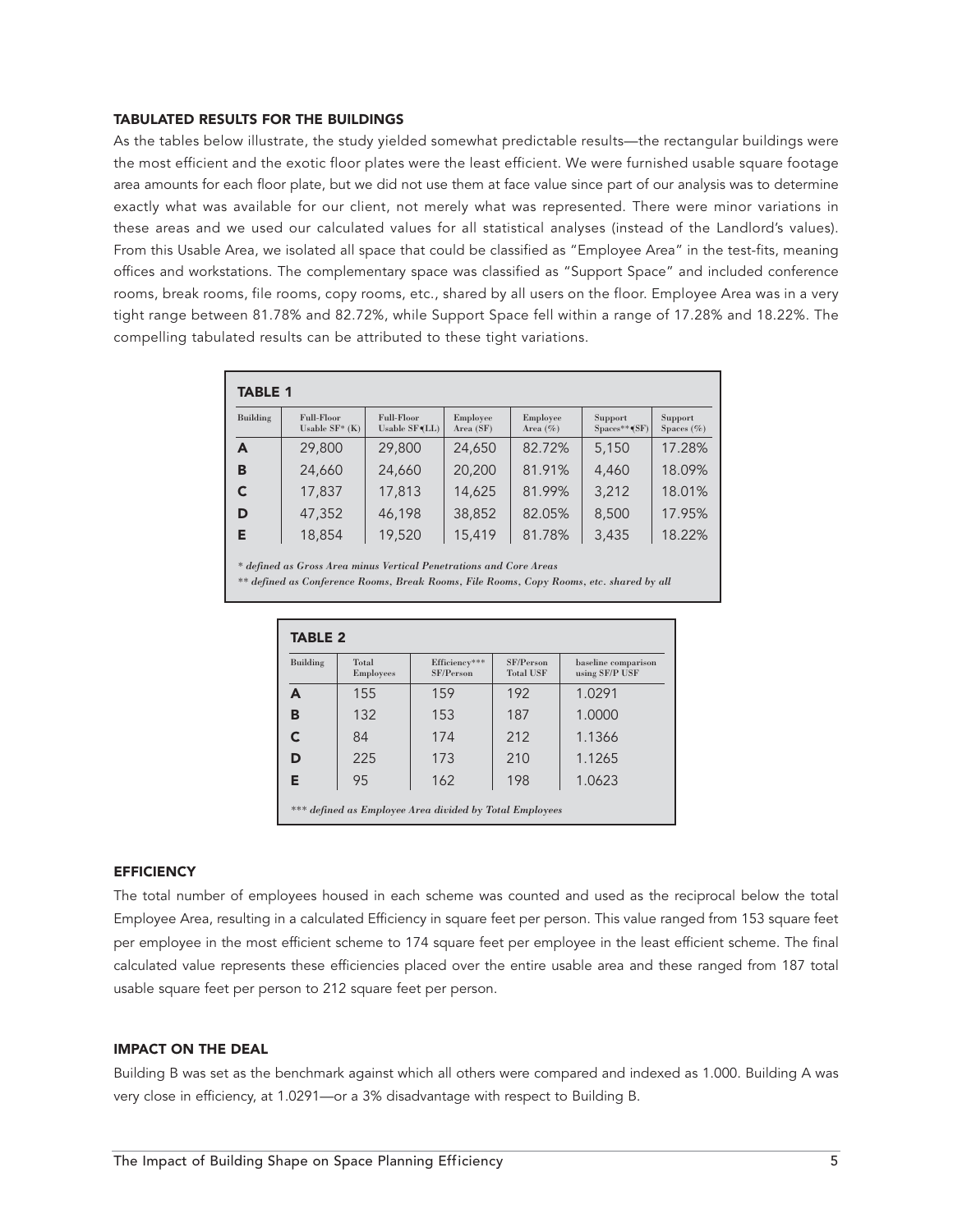#### TABULATED RESULTS FOR THE BUILDINGS

As the tables below illustrate, the study yielded somewhat predictable results—the rectangular buildings were the most efficient and the exotic floor plates were the least efficient. We were furnished usable square footage area amounts for each floor plate, but we did not use them at face value since part of our analysis was to determine exactly what was available for our client, not merely what was represented. There were minor variations in these areas and we used our calculated values for all statistical analyses (instead of the Landlord's values). From this Usable Area, we isolated all space that could be classified as "Employee Area" in the test-fits, meaning offices and workstations. The complementary space was classified as "Support Space" and included conference rooms, break rooms, file rooms, copy rooms, etc., shared by all users on the floor. Employee Area was in a very tight range between 81.78% and 82.72%, while Support Space fell within a range of 17.28% and 18.22%. The compelling tabulated results can be attributed to these tight variations.

| <b>TABLE 1</b> |                                      |                             |                       |                          |                              |                           |  |
|----------------|--------------------------------------|-----------------------------|-----------------------|--------------------------|------------------------------|---------------------------|--|
| Building       | <b>Full-Floor</b><br>Usable $SF*(K)$ | Full-Floor<br>Usable SF(LL) | Employee<br>Area (SF) | Employee<br>Area $(\% )$ | Support<br>$Spaces^{**}(SF)$ | Support<br>Spaces $(\% )$ |  |
| A              | 29,800                               | 29,800                      | 24,650                | 82.72%                   | 5,150                        | 17.28%                    |  |
| в              | 24,660                               | 24,660                      | 20,200                | 81.91%                   | 4,460                        | 18.09%                    |  |
| C              | 17,837                               | 17,813                      | 14,625                | 81.99%                   | 3,212                        | 18.01%                    |  |
| D              | 47,352                               | 46,198                      | 38,852                | 82.05%                   | 8,500                        | 17.95%                    |  |
| Е              | 18,854                               | 19,520                      | 15,419                | 81.78%                   | 3,435                        | 18.22%                    |  |

*\* defined as Gross Area minus Vertical Penetrations and Core Areas* 

*\*\* defined as Conference Rooms, Break Rooms, File Rooms, Copy Rooms, etc. shared by all* 

| <b>TABLE 2</b>                                          |                           |                            |                               |                                       |  |  |  |
|---------------------------------------------------------|---------------------------|----------------------------|-------------------------------|---------------------------------------|--|--|--|
| Building                                                | Total<br><b>Employees</b> | Efficiency***<br>SF/Person | SF/Person<br><b>Total USF</b> | baseline comparison<br>using SF/P USF |  |  |  |
| A                                                       | 155                       | 159                        | 192                           | 1.0291                                |  |  |  |
| в                                                       | 132                       | 153                        | 187                           | 1.0000                                |  |  |  |
|                                                         | 84                        | 174                        | 212                           | 1.1366                                |  |  |  |
| D                                                       | 225                       | 173                        | 210                           | 1.1265                                |  |  |  |
| Е                                                       | 95                        | 162                        | 198                           | 1.0623                                |  |  |  |
| *** defined as Employee Area divided by Total Employees |                           |                            |                               |                                       |  |  |  |

## **EFFICIENCY**

The total number of employees housed in each scheme was counted and used as the reciprocal below the total Employee Area, resulting in a calculated Efficiency in square feet per person. This value ranged from 153 square feet per employee in the most efficient scheme to 174 square feet per employee in the least efficient scheme. The final calculated value represents these efficiencies placed over the entire usable area and these ranged from 187 total usable square feet per person to 212 square feet per person.

#### IMPACT ON THE DEAL

Building B was set as the benchmark against which all others were compared and indexed as 1.000. Building A was very close in efficiency, at 1.0291—or a 3% disadvantage with respect to Building B.